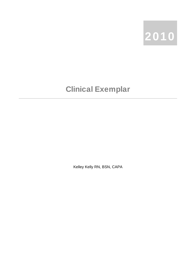

## Clinical Exemplar

Kelley Kelly RN, BSN, CAPA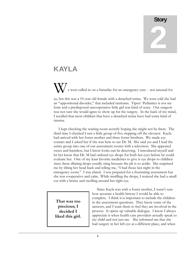## **Story** 2

## KAYLA

e were called in on a Saturday for an emergency case - not unusual for us, but this was a 10 year old female with a detached retina. We were told she had an "oppositional disorder," that included tantrums. Yipes! Pediatrics is not my forte and a predisposed uncooperative little girl was kind of scary. Our surgeon was not sure she would agree to show up for the surgery. In the back of my mind, I recalled that most children that have a detached retina have had some kind of trauma.

 I kept checking the waiting room secretly hoping she might not be there. The third time I checked I saw a little group of five stepping off the elevator. Kayla had arrived with her foster mother and three foster brothers. We made eye contact and I asked her if she was here to see Dr. M. She said yes and I lead the entire group into one of our assessment rooms with a television. She appeared sweet and harmless, but I know looks can be deceiving. I introduced myself and let her know that Dr. M had ordered eye drops for both her eyes before he could evaluate her. One of my least favorite medicines to give is eye drops to children since these dilating drops usually sting because the ph is so acidic. She surprised me by tilting her head back and telling me, "I had those last night in the emergency room." I was elated. I was prepared for a frustrating assessment but she was cooperative and calm. While instilling the drops, I noticed she had a small cut with a bruise and swelling around her right eye.

**That was too precious; I decided I liked this girl.**

 Since Kayla was with a foster mother, I wasn't sure how accurate a health history I would be able to complete. I think it is important to include the children in the assessment questions. They know some of the answers, and I want them to feel they are involved in the process. It opens up valuable dialogue. I know I always appreciate it when health care providers actually speak to my child and not just me. She informed me that she had surgery in her left eye at a different place, and when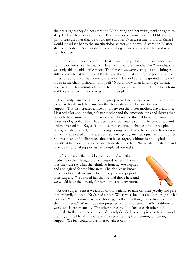she has surgery they do not start her IV (pointing and her wrist,) until she goes to sleep back in the operating room! That was too precious; I decided I liked this girl. I reassured her that we would not start her IV in assessment. I told Kayla I would introduce her to the anesthesiologist later and he would start her IV after she went to sleep. She nodded in acknowledgement while she smiled and relaxed her shoulders.

 I completed the assessment the best I could. Kayla told me all she knew about her history and since she had only been with the foster mother for 2 months, she was only able to add a little more. The three boys were very quiet and sitting as still as possible. When I asked Kayla how she got that bruise, she pointed to the littlest one and said, "he hit me with a rock!" He looked to the ground as he sank lower in the chair. I thought to myself "Now I know what kind of eye trauma occurred." A few minutes later the foster father showed up to take the boys home and they all looked relieved to get out of this place.

 The family dynamics of this little group were fascinating to me. We were able to talk to Kayla and the foster mother for quite awhile before Kayla went to surgery. This also created a nice bond between the foster mother, Kayla and me. I learned a lot about being a foster mother and the emotional ups and downs that go with the commitment to provide a safe home for the children. I informed the anesthesiologist that Kayla had been very cooperative so far. He went ahead and ordered versed po. Kayla also told us that she would change into our hospital gown, but she decided, "I'm not going to surgery!" I was thinking she has been so brave and answered all my questions so intelligently, my heart just went out to her. She was in an unfamiliar place about to have surgery without her biological parents at her side, how scared and alone she must feel. We needed to step in and provide emotional support as we completed our tasks.

 After she took the liquid versed she told us, "the medicine in the Chicago Hospital tasted better." I love kids they just say what they think so honest. We laughed and apologized for the bitterness. She also let us know the other hospital had given her apple juice and popsicles after surgery. We assured her that we had those here and we would have them ready for her in the recovery room.



 At our surgery center we ask all of our patients to take off their jewelry and give it their family to keep. Kayla had a ring. When we asked her about the ring she let us know, "my mommy gave me this ring, it's the only thing I have from her and she is in prison." Wow, I was not prepared for that statement. What a different world she is experiencing. The other nurse and I looked at each other and nodded. In that one second we had silently decided to put a piece of tape around the ring and tell Kayla the tape was to keep the ring from coming off during surgery. We just could not ask her to take it off.